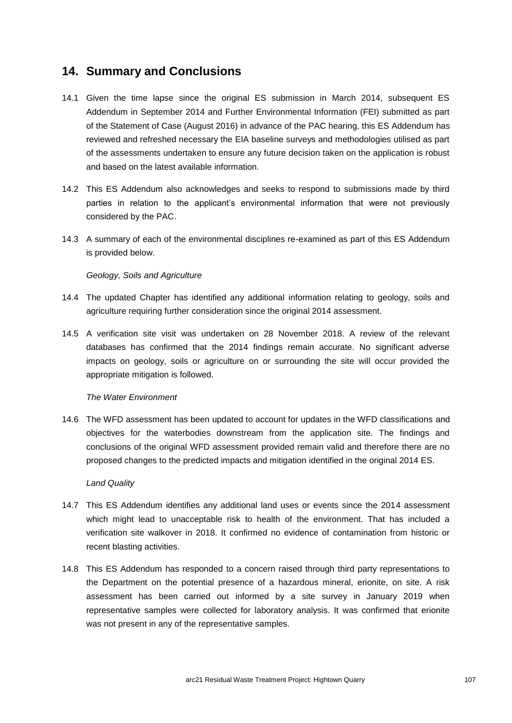# **14. Summary and Conclusions**

- 14.1 Given the time lapse since the original ES submission in March 2014, subsequent ES Addendum in September 2014 and Further Environmental Information (FEI) submitted as part of the Statement of Case (August 2016) in advance of the PAC hearing, this ES Addendum has reviewed and refreshed necessary the EIA baseline surveys and methodologies utilised as part of the assessments undertaken to ensure any future decision taken on the application is robust and based on the latest available information.
- 14.2 This ES Addendum also acknowledges and seeks to respond to submissions made by third parties in relation to the applicant's environmental information that were not previously considered by the PAC.
- 14.3 A summary of each of the environmental disciplines re-examined as part of this ES Addendum is provided below.

### *Geology, Soils and Agriculture*

- 14.4 The updated Chapter has identified any additional information relating to geology, soils and agriculture requiring further consideration since the original 2014 assessment.
- 14.5 A verification site visit was undertaken on 28 November 2018. A review of the relevant databases has confirmed that the 2014 findings remain accurate. No significant adverse impacts on geology, soils or agriculture on or surrounding the site will occur provided the appropriate mitigation is followed.

### *The Water Environment*

14.6 The WFD assessment has been updated to account for updates in the WFD classifications and objectives for the waterbodies downstream from the application site. The findings and conclusions of the original WFD assessment provided remain valid and therefore there are no proposed changes to the predicted impacts and mitigation identified in the original 2014 ES.

### *Land Quality*

- 14.7 This ES Addendum identifies any additional land uses or events since the 2014 assessment which might lead to unacceptable risk to health of the environment. That has included a verification site walkover in 2018. It confirmed no evidence of contamination from historic or recent blasting activities.
- 14.8 This ES Addendum has responded to a concern raised through third party representations to the Department on the potential presence of a hazardous mineral, erionite, on site. A risk assessment has been carried out informed by a site survey in January 2019 when representative samples were collected for laboratory analysis. It was confirmed that erionite was not present in any of the representative samples.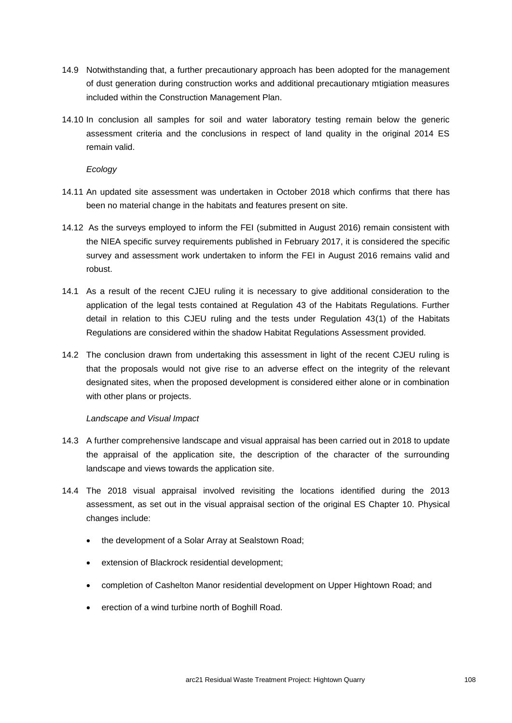- 14.9 Notwithstanding that, a further precautionary approach has been adopted for the management of dust generation during construction works and additional precautionary mtigiation measures included within the Construction Management Plan.
- 14.10 In conclusion all samples for soil and water laboratory testing remain below the generic assessment criteria and the conclusions in respect of land quality in the original 2014 ES remain valid.

*Ecology*

- 14.11 An updated site assessment was undertaken in October 2018 which confirms that there has been no material change in the habitats and features present on site.
- 14.12 As the surveys employed to inform the FEI (submitted in August 2016) remain consistent with the NIEA specific survey requirements published in February 2017, it is considered the specific survey and assessment work undertaken to inform the FEI in August 2016 remains valid and robust.
- 14.1 As a result of the recent CJEU ruling it is necessary to give additional consideration to the application of the legal tests contained at Regulation 43 of the Habitats Regulations. Further detail in relation to this CJEU ruling and the tests under Regulation 43(1) of the Habitats Regulations are considered within the shadow Habitat Regulations Assessment provided.
- 14.2 The conclusion drawn from undertaking this assessment in light of the recent CJEU ruling is that the proposals would not give rise to an adverse effect on the integrity of the relevant designated sites, when the proposed development is considered either alone or in combination with other plans or projects.

### *Landscape and Visual Impact*

- 14.3 A further comprehensive landscape and visual appraisal has been carried out in 2018 to update the appraisal of the application site, the description of the character of the surrounding landscape and views towards the application site.
- 14.4 The 2018 visual appraisal involved revisiting the locations identified during the 2013 assessment, as set out in the visual appraisal section of the original ES Chapter 10. Physical changes include:
	- the development of a Solar Array at Sealstown Road;
	- extension of Blackrock residential development;
	- completion of Cashelton Manor residential development on Upper Hightown Road; and
	- erection of a wind turbine north of Boghill Road.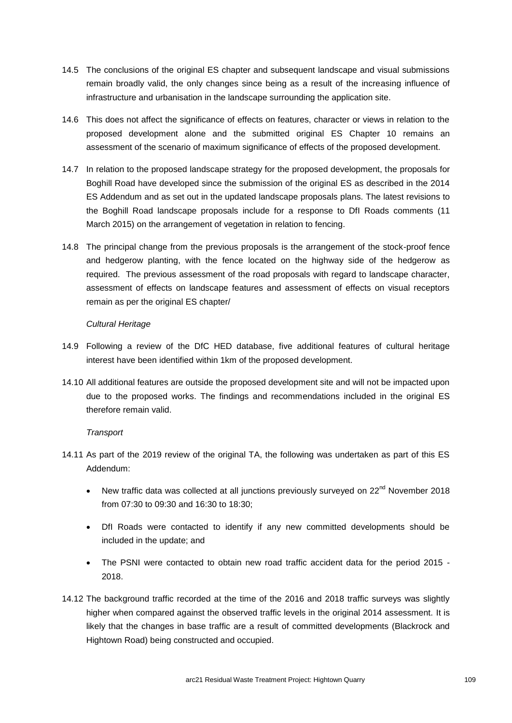- 14.5 The conclusions of the original ES chapter and subsequent landscape and visual submissions remain broadly valid, the only changes since being as a result of the increasing influence of infrastructure and urbanisation in the landscape surrounding the application site.
- 14.6 This does not affect the significance of effects on features, character or views in relation to the proposed development alone and the submitted original ES Chapter 10 remains an assessment of the scenario of maximum significance of effects of the proposed development.
- 14.7 In relation to the proposed landscape strategy for the proposed development, the proposals for Boghill Road have developed since the submission of the original ES as described in the 2014 ES Addendum and as set out in the updated landscape proposals plans. The latest revisions to the Boghill Road landscape proposals include for a response to DfI Roads comments (11 March 2015) on the arrangement of vegetation in relation to fencing.
- 14.8 The principal change from the previous proposals is the arrangement of the stock-proof fence and hedgerow planting, with the fence located on the highway side of the hedgerow as required. The previous assessment of the road proposals with regard to landscape character, assessment of effects on landscape features and assessment of effects on visual receptors remain as per the original ES chapter/

### *Cultural Heritage*

- 14.9 Following a review of the DfC HED database, five additional features of cultural heritage interest have been identified within 1km of the proposed development.
- 14.10 All additional features are outside the proposed development site and will not be impacted upon due to the proposed works. The findings and recommendations included in the original ES therefore remain valid.

## *Transport*

- 14.11 As part of the 2019 review of the original TA, the following was undertaken as part of this ES Addendum:
	- New traffic data was collected at all junctions previously surveyed on 22<sup>nd</sup> November 2018 from 07:30 to 09:30 and 16:30 to 18:30;
	- DfI Roads were contacted to identify if any new committed developments should be included in the update; and
	- The PSNI were contacted to obtain new road traffic accident data for the period 2015 2018.
- 14.12 The background traffic recorded at the time of the 2016 and 2018 traffic surveys was slightly higher when compared against the observed traffic levels in the original 2014 assessment. It is likely that the changes in base traffic are a result of committed developments (Blackrock and Hightown Road) being constructed and occupied.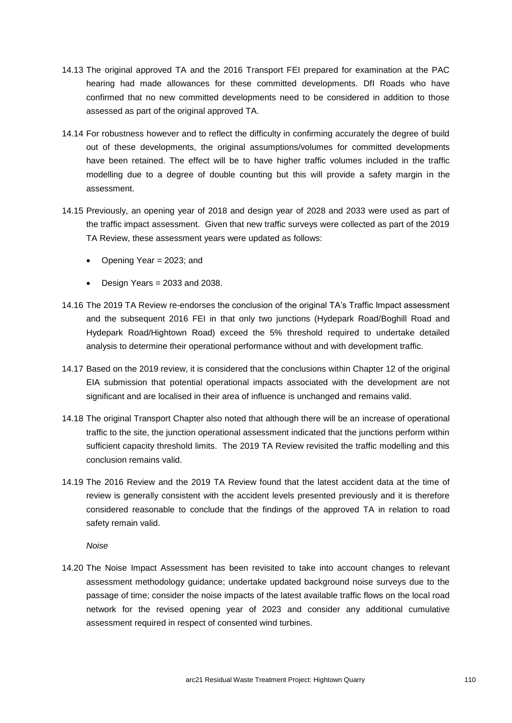- 14.13 The original approved TA and the 2016 Transport FEI prepared for examination at the PAC hearing had made allowances for these committed developments. DfI Roads who have confirmed that no new committed developments need to be considered in addition to those assessed as part of the original approved TA.
- 14.14 For robustness however and to reflect the difficulty in confirming accurately the degree of build out of these developments, the original assumptions/volumes for committed developments have been retained. The effect will be to have higher traffic volumes included in the traffic modelling due to a degree of double counting but this will provide a safety margin in the assessment.
- 14.15 Previously, an opening year of 2018 and design year of 2028 and 2033 were used as part of the traffic impact assessment. Given that new traffic surveys were collected as part of the 2019 TA Review, these assessment years were updated as follows:
	- Opening Year = 2023; and
	- Design Years = 2033 and 2038.
- 14.16 The 2019 TA Review re-endorses the conclusion of the original TA's Traffic Impact assessment and the subsequent 2016 FEI in that only two junctions (Hydepark Road/Boghill Road and Hydepark Road/Hightown Road) exceed the 5% threshold required to undertake detailed analysis to determine their operational performance without and with development traffic.
- 14.17 Based on the 2019 review, it is considered that the conclusions within Chapter 12 of the original EIA submission that potential operational impacts associated with the development are not significant and are localised in their area of influence is unchanged and remains valid.
- 14.18 The original Transport Chapter also noted that although there will be an increase of operational traffic to the site, the junction operational assessment indicated that the junctions perform within sufficient capacity threshold limits. The 2019 TA Review revisited the traffic modelling and this conclusion remains valid.
- 14.19 The 2016 Review and the 2019 TA Review found that the latest accident data at the time of review is generally consistent with the accident levels presented previously and it is therefore considered reasonable to conclude that the findings of the approved TA in relation to road safety remain valid.

### *Noise*

14.20 The Noise Impact Assessment has been revisited to take into account changes to relevant assessment methodology guidance; undertake updated background noise surveys due to the passage of time; consider the noise impacts of the latest available traffic flows on the local road network for the revised opening year of 2023 and consider any additional cumulative assessment required in respect of consented wind turbines.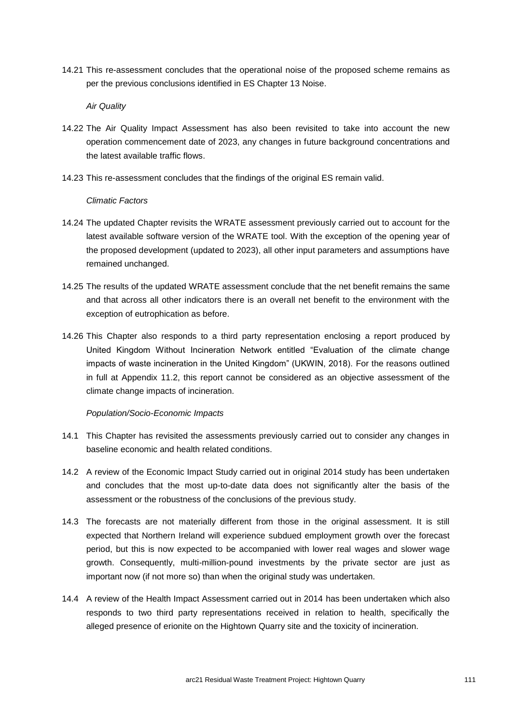14.21 This re-assessment concludes that the operational noise of the proposed scheme remains as per the previous conclusions identified in ES Chapter 13 Noise.

*Air Quality*

- 14.22 The Air Quality Impact Assessment has also been revisited to take into account the new operation commencement date of 2023, any changes in future background concentrations and the latest available traffic flows.
- 14.23 This re-assessment concludes that the findings of the original ES remain valid.

#### *Climatic Factors*

- 14.24 The updated Chapter revisits the WRATE assessment previously carried out to account for the latest available software version of the WRATE tool. With the exception of the opening year of the proposed development (updated to 2023), all other input parameters and assumptions have remained unchanged.
- 14.25 The results of the updated WRATE assessment conclude that the net benefit remains the same and that across all other indicators there is an overall net benefit to the environment with the exception of eutrophication as before.
- 14.26 This Chapter also responds to a third party representation enclosing a report produced by United Kingdom Without Incineration Network entitled "Evaluation of the climate change impacts of waste incineration in the United Kingdom" (UKWIN, 2018). For the reasons outlined in full at Appendix 11.2, this report cannot be considered as an objective assessment of the climate change impacts of incineration.

### *Population/Socio-Economic Impacts*

- 14.1 This Chapter has revisited the assessments previously carried out to consider any changes in baseline economic and health related conditions.
- 14.2 A review of the Economic Impact Study carried out in original 2014 study has been undertaken and concludes that the most up-to-date data does not significantly alter the basis of the assessment or the robustness of the conclusions of the previous study.
- 14.3 The forecasts are not materially different from those in the original assessment. It is still expected that Northern Ireland will experience subdued employment growth over the forecast period, but this is now expected to be accompanied with lower real wages and slower wage growth. Consequently, multi-million-pound investments by the private sector are just as important now (if not more so) than when the original study was undertaken.
- 14.4 A review of the Health Impact Assessment carried out in 2014 has been undertaken which also responds to two third party representations received in relation to health, specifically the alleged presence of erionite on the Hightown Quarry site and the toxicity of incineration.